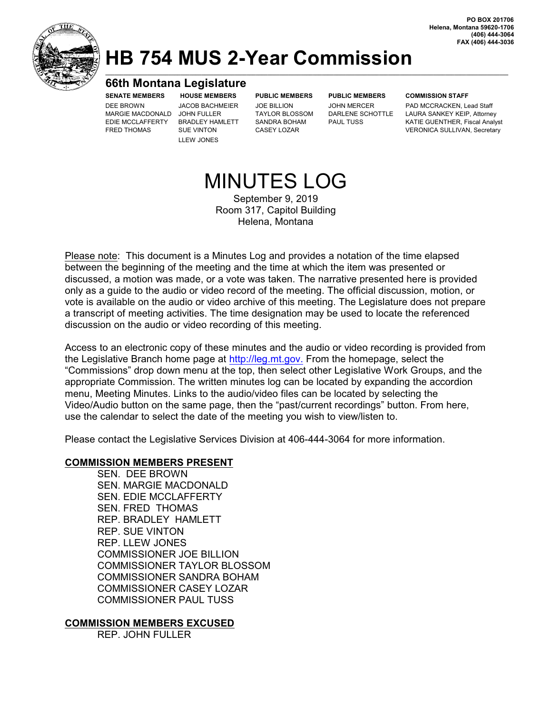

### **HB 754 MUS 2-Year Commission \_\_\_\_\_\_\_\_\_\_\_\_\_\_\_\_\_\_\_\_\_\_\_\_\_\_\_\_\_\_\_\_\_\_\_\_\_\_\_\_\_\_\_\_\_\_\_\_\_\_\_\_\_\_\_\_\_\_\_\_\_\_\_\_\_\_\_\_\_\_\_\_\_\_\_\_\_\_\_\_\_\_\_\_\_\_\_\_\_\_\_\_\_\_\_\_\_\_\_\_\_\_\_\_\_\_\_\_\_\_\_\_\_\_\_\_\_\_\_\_\_\_\_\_\_\_\_\_\_\_\_\_\_\_**

#### **66th Montana Legislature**

MARGIE MACDONALD JOHN FULLER

LLEW JONES

**SENATE MEMBERS HOUSE MEMBERS PUBLIC MEMBERS PUBLIC MEMBERS COMMISSION STAFF**

DEE BROWN JACOB BACHMEIER JOE BILLION JOHN MERCER PAD MCCRACKEN, Lead Staff PAD MCCRACKEN, Lead Staff (MARGIE MACDONALD JOHN FULLER TAYLOR BLOSSOM DARLENE SCHOTTLE LAURA SANKEY KEIP, Attorney EDIE MCCLAFFERTY BRADLEY HAMLETT SANDRA BOHAM PAUL TUSS KATIE GUENTHER, Fiscal Analyst FRED THOMAS SUE VINTON CASEY LOZAR CASEY LOTAR VERONICA SULLIVAN, Secretary

# MINUTES LOG

September 9, 2019 Room 317, Capitol Building Helena, Montana

Please note: This document is a Minutes Log and provides a notation of the time elapsed between the beginning of the meeting and the time at which the item was presented or discussed, a motion was made, or a vote was taken. The narrative presented here is provided only as a guide to the audio or video record of the meeting. The official discussion, motion, or vote is available on the audio or video archive of this meeting. The Legislature does not prepare a transcript of meeting activities. The time designation may be used to locate the referenced discussion on the audio or video recording of this meeting.

Access to an electronic copy of these minutes and the audio or video recording is provided from the Legislative Branch home page at <http://leg.mt.gov.> From the homepage, select the "Commissions" drop down menu at the top, then select other Legislative Work Groups, and the appropriate Commission. The written minutes log can be located by expanding the accordion menu, Meeting Minutes. Links to the audio/video files can be located by selecting the Video/Audio button on the same page, then the "past/current recordings" button. From here, use the calendar to select the date of the meeting you wish to view/listen to.

Please contact the Legislative Services Division at 406-444-3064 for more information.

#### **COMMISSION MEMBERS PRESENT**

SEN. DEE BROWN SEN. MARGIE MACDONALD SEN. EDIE MCCLAFFERTY SEN. FRED THOMAS REP. BRADLEY HAMLETT REP. SUE VINTON REP. LLEW JONES COMMISSIONER JOE BILLION COMMISSIONER TAYLOR BLOSSOM COMMISSIONER SANDRA BOHAM COMMISSIONER CASEY LOZAR COMMISSIONER PAUL TUSS

#### **COMMISSION MEMBERS EXCUSED**

REP. JOHN FULLER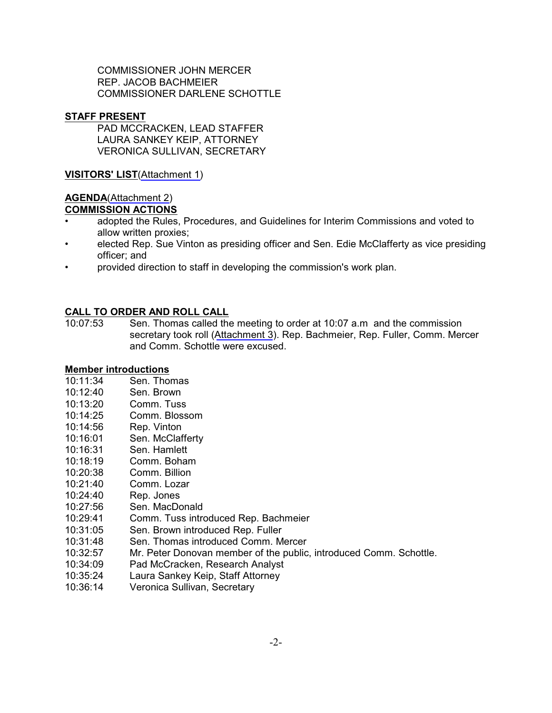COMMISSIONER JOHN MERCER REP. JACOB BACHMEIER COMMISSIONER DARLENE SCHOTTLE

#### **STAFF PRESENT**

PAD MCCRACKEN, LEAD STAFFER LAURA SANKEY KEIP, ATTORNEY VERONICA SULLIVAN, SECRETARY

**VISITORS' LIST**[\(Attachment](https://leg.mt.gov/content/Committees/Interim/2019-2020/HB-754-MUS-2-Year-Commission/Minutes/September-20-2019/MUS-2-Year-Commison-Sept-20-2019-At1.pdf) 1)

## **AGENDA**[\(Attachment](https://leg.mt.gov/content/Committees/Interim/2019-2020/HB-754-MUS-2-Year-Commission/Sept-2019-FINAL-agenda.pdf) 2)

#### **COMMISSION ACTIONS**

- adopted the Rules, Procedures, and Guidelines for Interim Commissions and voted to allow written proxies;
- elected Rep. Sue Vinton as presiding officer and Sen. Edie McClafferty as vice presiding officer; and
- provided direction to staff in developing the commission's work plan.

#### **CALL TO ORDER AND ROLL CALL**

10:07:53 Sen. Thomas called the meeting to order at 10:07 a.m and the commission secretary took roll ([Attachment](https://leg.mt.gov/content/Committees/Interim/2019-2020/HB-754-MUS-2-Year-Commission/Minutes/September-20-2019/MUS-2-Year-Commison-Sept-20-2019-At3.pdf) 3). Rep. Bachmeier, Rep. Fuller, Comm. Mercer and Comm. Schottle were excused.

#### **Member introductions**

- 10:11:34 Sen. Thomas
- 10:12:40 Sen. Brown
- 10:13:20 Comm. Tuss
- 10:14:25 Comm. Blossom
- 10:14:56 Rep. Vinton
- 10:16:01 Sen. McClafferty
- 10:16:31 Sen. Hamlett
- 10:18:19 Comm. Boham
- 10:20:38 Comm. Billion
- 10:21:40 Comm. Lozar
- 10:24:40 Rep. Jones
- 10:27:56 Sen. MacDonald
- 10:29:41 Comm. Tuss introduced Rep. Bachmeier
- 10:31:05 Sen. Brown introduced Rep. Fuller
- 10:31:48 Sen. Thomas introduced Comm. Mercer
- 10:32:57 Mr. Peter Donovan member of the public, introduced Comm. Schottle.
- 10:34:09 Pad McCracken, Research Analyst
- 10:35:24 Laura Sankey Keip, Staff Attorney
- 10:36:14 Veronica Sullivan, Secretary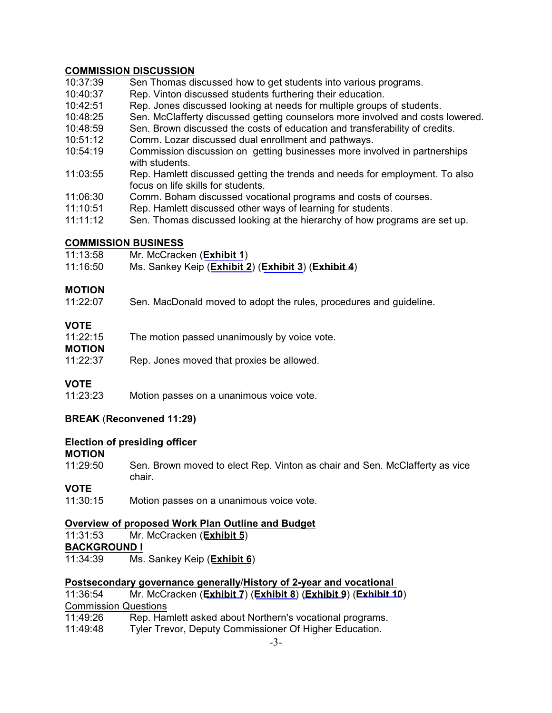#### **COMMISSION DISCUSSION**

- 10:37:39 Sen Thomas discussed how to get students into various programs.
- 10:40:37 Rep. Vinton discussed students furthering their education.
- 10:42:51 Rep. Jones discussed looking at needs for multiple groups of students.
- 10:48:25 Sen. McClafferty discussed getting counselors more involved and costs lowered.
- 10:48:59 Sen. Brown discussed the costs of education and transferability of credits.
- 10:51:12 Comm. Lozar discussed dual enrollment and pathways.
- 10:54:19 Commission discussion on getting businesses more involved in partnerships with students.
- 11:03:55 Rep. Hamlett discussed getting the trends and needs for employment. To also focus on life skills for students.
- 11:06:30 Comm. Boham discussed vocational programs and costs of courses.
- 11:10:51 Rep. Hamlett discussed other ways of learning for students.
- 11:11:12 Sen. Thomas discussed looking at the hierarchy of how programs are set up.

#### **COMMISSION BUSINESS**

- 11:13:58 Mr. McCracken (**[Exhibit](https://leg.mt.gov/bills/2019/billhtml/HB0754.htm) 1**)
- 11:16:50 Ms. Sankey Keip (**[Exhibit](https://leg.mt.gov/content/Committees/Interim/2019-2020/Education/Committee-Topics/Committee-admin-background/FinalRules.pdf) 2**) (**[Exhibit](https://leg.mt.gov/content/Committees/Interim/2019-2020/HB-754-MUS-2-Year-Commission/Minutes/September-20-2019/MUS-2-Year-Commison-Sept-20-2019-Ex3.pdf) 3**) (**[Exhibit](https://leg.mt.gov/content/For-Legislators/orientation/guide/emailguideNov2018.pdf) 4**)

#### **MOTION**

11:22:07 Sen. MacDonald moved to adopt the rules, procedures and guideline.

#### **VOTE**

| 11:22:15 | The motion passed unanimously by voice vote. |
|----------|----------------------------------------------|
| MOTION   |                                              |
| 11:22:37 | Rep. Jones moved that proxies be allowed.    |

#### **VOTE**

11:23:23 Motion passes on a unanimous voice vote.

#### **BREAK** (**Reconvened 11:29)**

#### **Election of presiding officer**

**MOTION**

11:29:50 Sen. Brown moved to elect Rep. Vinton as chair and Sen. McClafferty as vice chair.

#### **VOTE**

11:30:15 Motion passes on a unanimous voice vote.

#### **Overview of proposed Work Plan Outline and Budget**

11:31:53 Mr. McCracken (**[Exhibit](https://leg.mt.gov/content/Committees/Interim/2019-2020/HB-754-MUS-2-Year-Commission/MUS-2-Year-Work-Plan-Outline-DRAFT.pdf) 5**) **BACKGROUND I**

11:34:39 Ms. Sankey Keip (**[Exhibit](https://leg.mt.gov/content/Committees/Interim/2019-2020/Education/Committee-Topics/Committee-admin-background/Article-X.pdf) 6**)

#### **Postsecondary governance generally**/**History of 2-year and vocational**

| 11:36:54                    | Mr. McCracken (Exhibit 7) (Exhibit 8) (Exhibit 9) (Exhibit 10) |
|-----------------------------|----------------------------------------------------------------|
| <b>Commission Questions</b> |                                                                |
| 11:49:26                    | Rep. Hamlett asked about Northern's vocational programs.       |
| 11:49:48                    | Tyler Trevor, Deputy Commissioner Of Higher Education.         |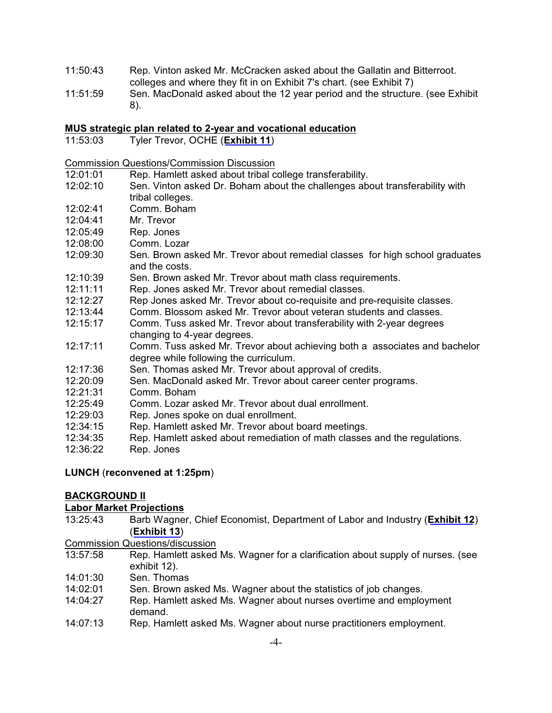- 11:50:43 Rep. Vinton asked Mr. McCracken asked about the Gallatin and Bitterroot. colleges and where they fit in on Exhibit 7's chart. (see Exhibit 7)
- 11:51:59 Sen. MacDonald asked about the 12 year period and the structure. (see Exhibit 8).

#### **MUS strategic plan related to 2-year and vocational education**

11:53:03 Tyler Trevor, OCHE (**[Exhibit](https://leg.mt.gov/content/Committees/Interim/2019-2020/HB-754-MUS-2-Year-Commission/MUS-Strat-Plan-2019.pdf) 11**)

Commission Questions/Commission Discussion

- 12:01:01 Rep. Hamlett asked about tribal college transferability.
- 12:02:10 Sen. Vinton asked Dr. Boham about the challenges about transferability with tribal colleges.
- 12:02:41 Comm. Boham
- 12:04:41 Mr. Trevor
- 12:05:49 Rep. Jones
- 12:08:00 Comm. Lozar
- 12:09:30 Sen. Brown asked Mr. Trevor about remedial classes for high school graduates and the costs.
- 12:10:39 Sen. Brown asked Mr. Trevor about math class requirements.
- 12:11:11 Rep. Jones asked Mr. Trevor about remedial classes.
- 12:12:27 Rep Jones asked Mr. Trevor about co-requisite and pre-requisite classes.
- 12:13:44 Comm. Blossom asked Mr. Trevor about veteran students and classes.
- 12:15:17 Comm. Tuss asked Mr. Trevor about transferability with 2-year degrees changing to 4-year degrees.
- 12:17:11 Comm. Tuss asked Mr. Trevor about achieving both a associates and bachelor degree while following the curriculum.
- 12:17:36 Sen. Thomas asked Mr. Trevor about approval of credits.
- 12:20:09 Sen. MacDonald asked Mr. Trevor about career center programs.
- 12:21:31 Comm. Boham
- 12:25:49 Comm. Lozar asked Mr. Trevor about dual enrollment.
- 12:29:03 Rep. Jones spoke on dual enrollment.
- 12:34:15 Rep. Hamlett asked Mr. Trevor about board meetings.
- 12:34:35 Rep. Hamlett asked about remediation of math classes and the regulations.
- 12:36:22 Rep. Jones

#### **LUNCH** (**reconvened at 1:25pm**)

#### **BACKGROUND II**

#### **Labor Market Projections**

- 13:25:43 Barb Wagner, Chief Economist, Department of Labor and Industry (**[Exhibit](https://leg.mt.gov/content/Committees/Interim/2019-2020/HB-754-MUS-2-Year-Commission/DLI-labor-market-present.pdf) 12**) (**[Exhibit](http://lmi.mt.gov/Portals/193/Publications/LMI-Pubs/Labor%20Market%20Publications/EAG-0819.pdf) 13**)
- Commission Questions/discussion
- 13:57:58 Rep. Hamlett asked Ms. Wagner for a clarification about supply of nurses. (see exhibit 12).
- 14:01:30 Sen. Thomas
- 14:02:01 Sen. Brown asked Ms. Wagner about the statistics of job changes.
- 14:04:27 Rep. Hamlett asked Ms. Wagner about nurses overtime and employment demand.
- 14:07:13 Rep. Hamlett asked Ms. Wagner about nurse practitioners employment.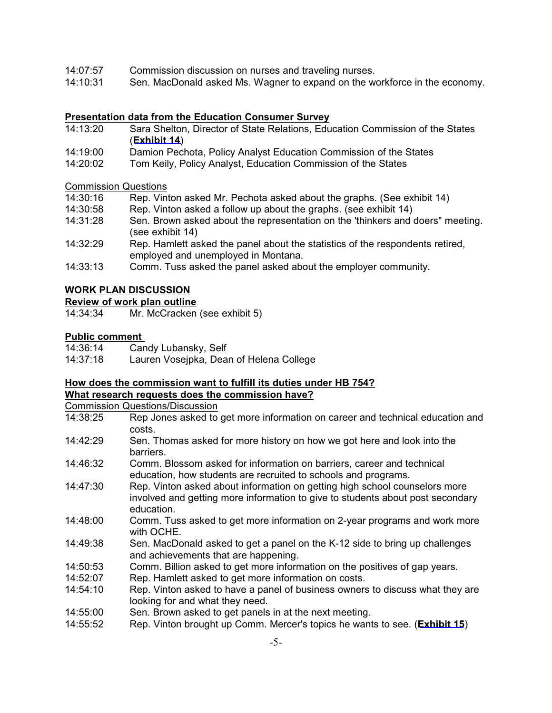- 14:07:57 Commission discussion on nurses and traveling nurses.
- 14:10:31 Sen. MacDonald asked Ms. Wagner to expand on the workforce in the economy.

#### **Presentation data from the Education Consumer Survey**

- 14:13:20 Sara Shelton, Director of State Relations, Education Commission of the States (**[Exhibit](https://leg.mt.gov/content/Committees/Interim/2019-2020/HB-754-MUS-2-Year-Commission/ECS-Ed-Consumer-Survey.pdf) 14**)
- 14:19:00 Damion Pechota, Policy Analyst Education Commission of the States<br>14:20:02 Tom Keily, Policy Analyst, Education Commission of the States
- Tom Keily, Policy Analyst, Education Commission of the States

Commission Questions

- 14:30:16 Rep. Vinton asked Mr. Pechota asked about the graphs. (See exhibit 14)
- 14:30:58 Rep. Vinton asked a follow up about the graphs. (see exhibit 14)
- 14:31:28 Sen. Brown asked about the representation on the 'thinkers and doers" meeting. (see exhibit 14)
- 14:32:29 Rep. Hamlett asked the panel about the statistics of the respondents retired, employed and unemployed in Montana.
- 14:33:13 Comm. Tuss asked the panel asked about the employer community.

#### **WORK PLAN DISCUSSION**

#### **Review of work plan outline**

14:34:34 Mr. McCracken (see exhibit 5)

#### **Public comment**

| 14:36:14 | Candy Lubansky, Self                    |
|----------|-----------------------------------------|
| 14:37:18 | Lauren Vosejpka, Dean of Helena College |

#### **How does the commission want to fulfill its duties under HB 754? What research requests does the commission have?**

Commission Questions/Discussion

- 14:38:25 Rep Jones asked to get more information on career and technical education and costs.
- 14:42:29 Sen. Thomas asked for more history on how we got here and look into the barriers.
- 14:46:32 Comm. Blossom asked for information on barriers, career and technical education, how students are recruited to schools and programs.
- 14:47:30 Rep. Vinton asked about information on getting high school counselors more involved and getting more information to give to students about post secondary education.
- 14:48:00 Comm. Tuss asked to get more information on 2-year programs and work more with OCHE.
- 14:49:38 Sen. MacDonald asked to get a panel on the K-12 side to bring up challenges and achievements that are happening.
- 14:50:53 Comm. Billion asked to get more information on the positives of gap years.
- 14:52:07 Rep. Hamlett asked to get more information on costs.
- 14:54:10 Rep. Vinton asked to have a panel of business owners to discuss what they are looking for and what they need.
- 14:55:00 Sen. Brown asked to get panels in at the next meeting.
- 14:55:52 Rep. Vinton brought up Comm. Mercer's topics he wants to see. (**[Exhibit](https://leg.mt.gov/content/Committees/Interim/2019-2020/HB-754-MUS-2-Year-Commission/Mercer-Memo-for-September-2019.pdf) 15**)